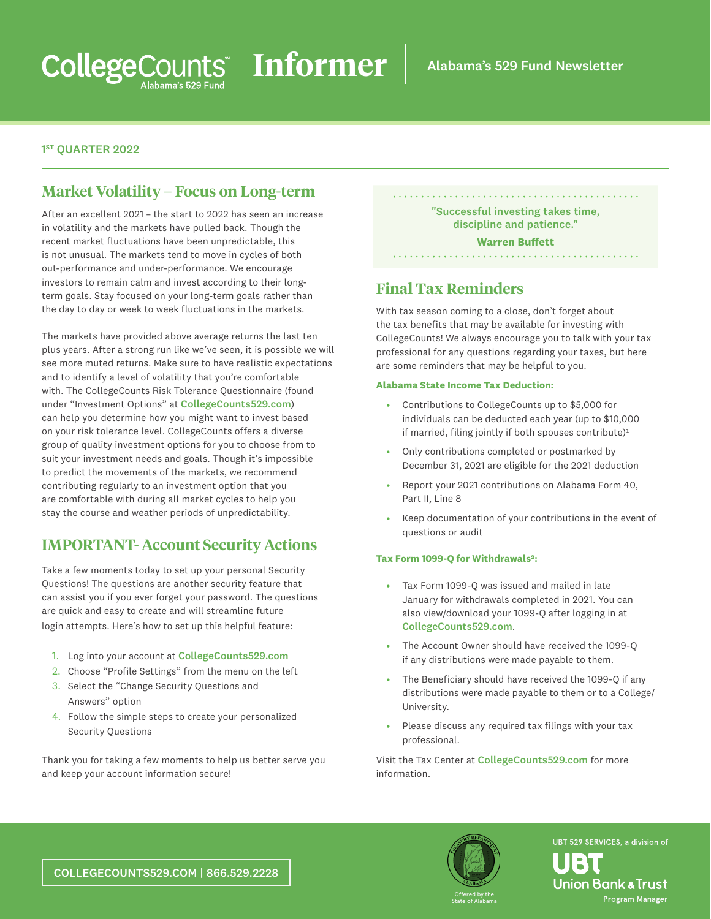### 1<sup>ST</sup> OUARTER 2022

## **Market Volatility – Focus on Long-term**

After an excellent 2021 – the start to 2022 has seen an increase in volatility and the markets have pulled back. Though the recent market fluctuations have been unpredictable, this is not unusual. The markets tend to move in cycles of both out-performance and under-performance. We encourage investors to remain calm and invest according to their longterm goals. Stay focused on your long-term goals rather than the day to day or week to week fluctuations in the markets.

The markets have provided above average returns the last ten plus years. After a strong run like we've seen, it is possible we will see more muted returns. Make sure to have realistic expectations and to identify a level of volatility that you're comfortable with. The CollegeCounts Risk Tolerance Questionnaire (found under "Investment Options" at [CollegeCounts529.com](http://CollegeCounts529.com)) can help you determine how you might want to invest based on your risk tolerance level. CollegeCounts offers a diverse group of quality investment options for you to choose from to suit your investment needs and goals. Though it's impossible to predict the movements of the markets, we recommend contributing regularly to an investment option that you are comfortable with during all market cycles to help you stay the course and weather periods of unpredictability.

### **IMPORTANT- Account Security Actions**

Take a few moments today to set up your personal Security Questions! The questions are another security feature that can assist you if you ever forget your password. The questions are quick and easy to create and will streamline future login attempts. Here's how to set up this helpful feature:

- 1. Log into your account at [CollegeCounts529.com](http://CollegeCounts529.com)
- 2. Choose "Profile Settings" from the menu on the left
- 3. Select the "Change Security Questions and Answers" option
- 4. Follow the simple steps to create your personalized Security Questions

Thank you for taking a few moments to help us better serve you and keep your account information secure!

"Successful investing takes time, discipline and patience."

#### **Warren Buffett**

## **Final Tax Reminders**

With tax season coming to a close, don't forget about the tax benefits that may be available for investing with CollegeCounts! We always encourage you to talk with your tax professional for any questions regarding your taxes, but here are some reminders that may be helpful to you.

#### **Alabama State Income Tax Deduction:**

- Contributions to CollegeCounts up to \$5,000 for individuals can be deducted each year (up to \$10,000 if married, filing jointly if both spouses contribute) $1$
- Only contributions completed or postmarked by December 31, 2021 are eligible for the 2021 deduction
- Report your 2021 contributions on Alabama Form 40, Part II, Line 8
- Keep documentation of your contributions in the event of questions or audit

#### **Tax Form 1099-Q for Withdrawals²:**

- Tax Form 1099-Q was issued and mailed in late January for withdrawals completed in 2021. You can also view/download your 1099-Q after logging in at [CollegeCounts529.com](http://CollegeCounts529.com).
- The Account Owner should have received the 1099-Q if any distributions were made payable to them.
- The Beneficiary should have received the 1099-Q if any distributions were made payable to them or to a College/ University.
- Please discuss any required tax filings with your tax professional.

Visit the Tax Center at [CollegeCounts529.com](http://CollegeCounts529.com) for more information.



UBT 529 SERVICES, a division of **Union Bank & Trust** 

Program Manager